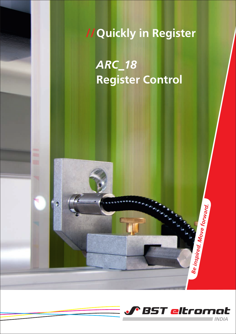**// Quickly in Register**

*ARC\_18* **Register Control**



*Be inspired. Move forward.*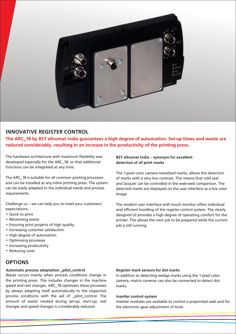

## **INNOVATIVE REGISTER CONTROL**

**The ARC\_18 by BST eltromat India guarantees a high degree of automation. Set-up times and waste are reduced considerably, resulting in an increase in the productivity of the printing press.**

The hardware architecture with maximum flexibility was developed especially for the ARC\_18, so that additional functions can be integrated at any time.

The ARC\_18 is suitable for all common printing processes and can be installed at any inline printing press. The system can be easily adapted to the individual needs and process requirements.

Challenge us – we can help you to meet your customers' expectations.

- Quick to print
- Minimising waste
- Ensuring print projects of high quality
- Increasing customer satisfaction
- High degree of automation
- Optimising processes
- Increasing productivity
- Reducing costs

# **OPTIONS**

#### **Automatic process adaptation \_pilot\_control**

Waste occurs mainly when process conditions change in the printing press. This includes changes in the machine speed and reel changes. ARC\_18 optimizes these processes by always adapting itself automatically to the respective process conditions with the aid of \_pilot\_control. The amount of waste created during set-up, start-up, reel changes and speed changes is considerably reduced.

## **BST eltromat India – synonym for excellent detection of all print marks**

The 1-pixel color camera metalized marks, allows the detection of marks with a very low contrast. This means that cold seal and lacquer can be controlled in the web-web comparison. The detected marks are displayed on the user interface as a live color image.

The modern user interface with touch monitor offers individual and efficient handling of the register control system. The clearly designed UI provides a high degree of operating comfort for the printer. This allows the next job to be prepared while the current job is still running.

#### **Register mark sensors for dot marks**

In addition to detecting wedge marks using the 1-pixel color camera, matrix cameras can also be connected to detect dot marks.

#### **Insetter control system**

Insetter modules are available to control a preprinted web and for the electronic gear adjustment of tools.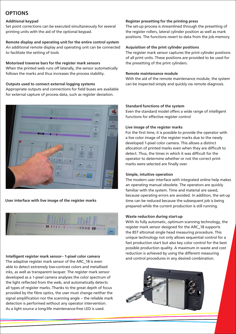# **OPTIONS**

## **Additional keypad**

Set point corrections can be executed simultaneously for several printing units with the aid of the optional keypad.

## **Remote display and operating unit for the entire control system**

An additional remote display and operating unit can be connected to facilitate the setting of tools

## **Motorised traverse bars for the register mark sensors**

When the printed web runs off laterally, the sensor automatically follows the marks and thus increases the process stability.

## **Outputs used to connect external logging systems**

Appropriate outputs and connections for field buses are available for external capture of process data, such as register deviation.



## **User interface with live image of the register marks**



## **Intelligent register mark sensor– 1-pixel color camera**

The adaptive register mark sensor of the ARC\_18 is even able to detect extremely low-contrast colors and metallised inks, as well as transparent lacquer. The register mark sensor developed as a 1-pixel camera analyses the color spectrum of the light reflected from the web, and automatically detects all types of register marks. Thanks to the great depth of focus provided by the fibre optics, the user must change neither the signal amplification nor the scanning angle – the reliable mark detection is performed without any operator intervention. As a light source a long-life maintenance-free LED is used.

## **Register presetting for the printing press**

The set-up process is streamlined through the presetting of the register rollers, lateral cylinder position as well as mark positions. The functions revert to data from the job memory.

## **Acquisition of the print cylinder positions**

The register mark sensor captures the print cylinder positions of all print units. These positions are provided to be used for the presetting of the print cylinders.

#### **Remote maintenance module**

With the aid of the remote maintenance module, the system can be inspected simply and quickly via remote diagnosis.

#### **Standard functions of the system**

Even the standard model offers a wide range of intelligent functions for effective register control

## **Live image of the register marks**

For the first time, it is possible to provide the operator with a live color image of the register marks due to the newly developed 1-pixel color camera. This allows a distinct allocation of printed marks even when they are difficult to detect. Thus, the times in which it was difficult for the operator to determine whether or not the correct print marks were selected are finally over.

## **Simple, intuitive operation**

The modern user interface with integrated online help makes an operating manual obsolete. The operators are quickly familiar with the system. Time and material are saved, because operating errors are avoided. In addition, the set-up time can be reduced because the subsequent job is being prepared while the current production is still running.

#### **Waste reduction during start-up**

With its fully automatic, optimum scanning technology, the register mark sensor designed for the ARC\_18 supports the BST eltromat single head measuring procedure. This unique technology not only allows sequential control for a fast production start but also key color control for the best possible production quality. A maximum in waste and cost reduction is achieved by using the different measuring and control procedures in any desired combination.